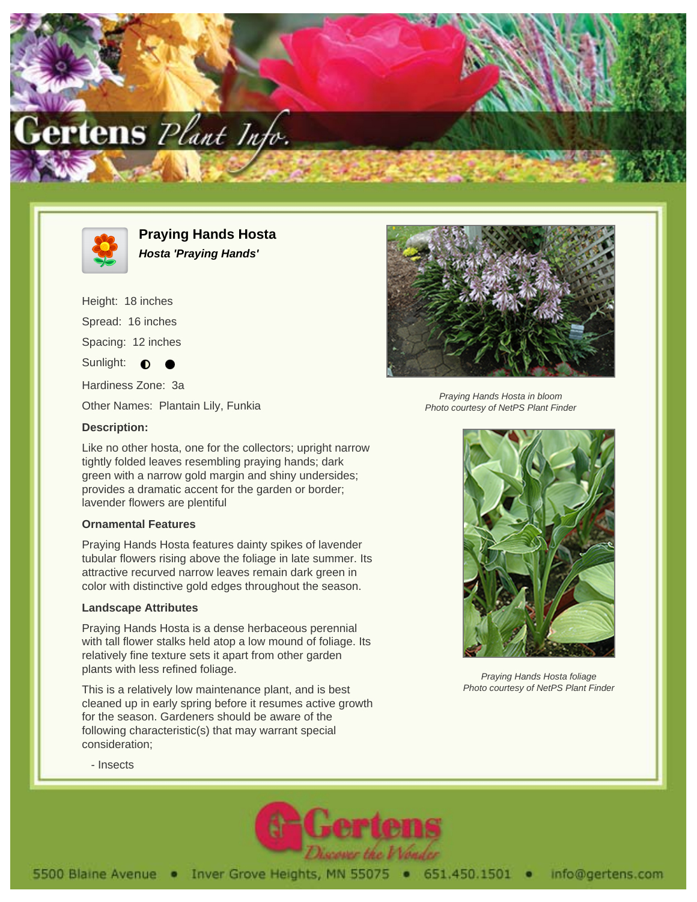



**Praying Hands Hosta Hosta 'Praying Hands'**

Height: 18 inches

Spread: 16 inches

Spacing: 12 inches

Sunlight:  $\bullet$ 

Hardiness Zone: 3a

Other Names: Plantain Lily, Funkia

## **Description:**

Like no other hosta, one for the collectors; upright narrow tightly folded leaves resembling praying hands; dark green with a narrow gold margin and shiny undersides; provides a dramatic accent for the garden or border; lavender flowers are plentiful

## **Ornamental Features**

Praying Hands Hosta features dainty spikes of lavender tubular flowers rising above the foliage in late summer. Its attractive recurved narrow leaves remain dark green in color with distinctive gold edges throughout the season.

## **Landscape Attributes**

Praying Hands Hosta is a dense herbaceous perennial with tall flower stalks held atop a low mound of foliage. Its relatively fine texture sets it apart from other garden plants with less refined foliage.

This is a relatively low maintenance plant, and is best cleaned up in early spring before it resumes active growth for the season. Gardeners should be aware of the following characteristic(s) that may warrant special consideration;



Praying Hands Hosta in bloom Photo courtesy of NetPS Plant Finder



Praying Hands Hosta foliage Photo courtesy of NetPS Plant Finder

- Insects